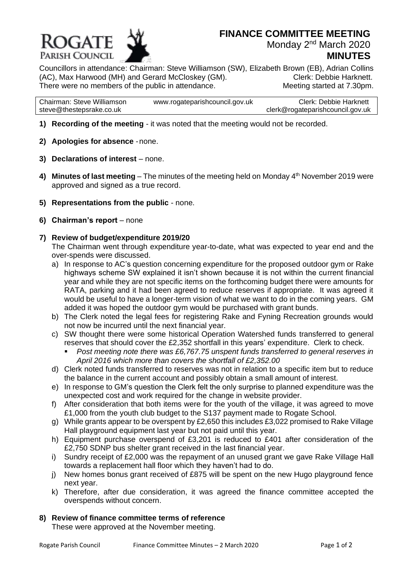

# **MINUTES**

Councillors in attendance: Chairman: Steve Williamson (SW), Elizabeth Brown (EB), Adrian Collins (AC), Max Harwood (MH) and Gerard McCloskey (GM). Clerk: Debbie Harknett. There were no members of the public in attendance. Meeting started at 7.30pm.

| Chairman: Steve Williamson | www.rogateparishcouncil.gov.uk | <b>Clerk: Debbie Harknett</b>    |
|----------------------------|--------------------------------|----------------------------------|
| steve@thestepsrake.co.uk   |                                | clerk@rogateparishcouncil.gov.uk |

- **1) Recording of the meeting** it was noted that the meeting would not be recorded.
- **2) Apologies for absence** -none.
- **3) Declarations of interest** none.
- 4) Minutes of last meeting The minutes of the meeting held on Monday 4<sup>th</sup> November 2019 were approved and signed as a true record.
- **5) Representations from the public** none.
- **6) Chairman's report** none
- **7) Review of budget/expenditure 2019/20**

The Chairman went through expenditure year-to-date, what was expected to year end and the over-spends were discussed.

- a) In response to AC's question concerning expenditure for the proposed outdoor gym or Rake highways scheme SW explained it isn't shown because it is not within the current financial year and while they are not specific items on the forthcoming budget there were amounts for RATA, parking and it had been agreed to reduce reserves if appropriate. It was agreed it would be useful to have a longer-term vision of what we want to do in the coming years. GM added it was hoped the outdoor gym would be purchased with grant bunds.
- b) The Clerk noted the legal fees for registering Rake and Fyning Recreation grounds would not now be incurred until the next financial year.
- c) SW thought there were some historical Operation Watershed funds transferred to general reserves that should cover the £2,352 shortfall in this years' expenditure. Clerk to check.
	- Post meeting note there was £6,767.75 unspent funds transferred to general reserves in *April 2016 which more than covers the shortfall of £2,352.00*
- d) Clerk noted funds transferred to reserves was not in relation to a specific item but to reduce the balance in the current account and possibly obtain a small amount of interest.
- e) In response to GM's question the Clerk felt the only surprise to planned expenditure was the unexpected cost and work required for the change in website provider.
- f) After consideration that both items were for the youth of the village, it was agreed to move £1,000 from the youth club budget to the S137 payment made to Rogate School.
- g) While grants appear to be overspent by £2,650 this includes £3,022 promised to Rake Village Hall playground equipment last year but not paid until this year.
- h) Equipment purchase overspend of £3,201 is reduced to £401 after consideration of the £2,750 SDNP bus shelter grant received in the last financial year.
- i) Sundry receipt of £2,000 was the repayment of an unused grant we gave Rake Village Hall towards a replacement hall floor which they haven't had to do.
- j) New homes bonus grant received of £875 will be spent on the new Hugo playground fence next year.
- k) Therefore, after due consideration, it was agreed the finance committee accepted the overspends without concern.

# **8) Review of finance committee terms of reference**

These were approved at the November meeting.